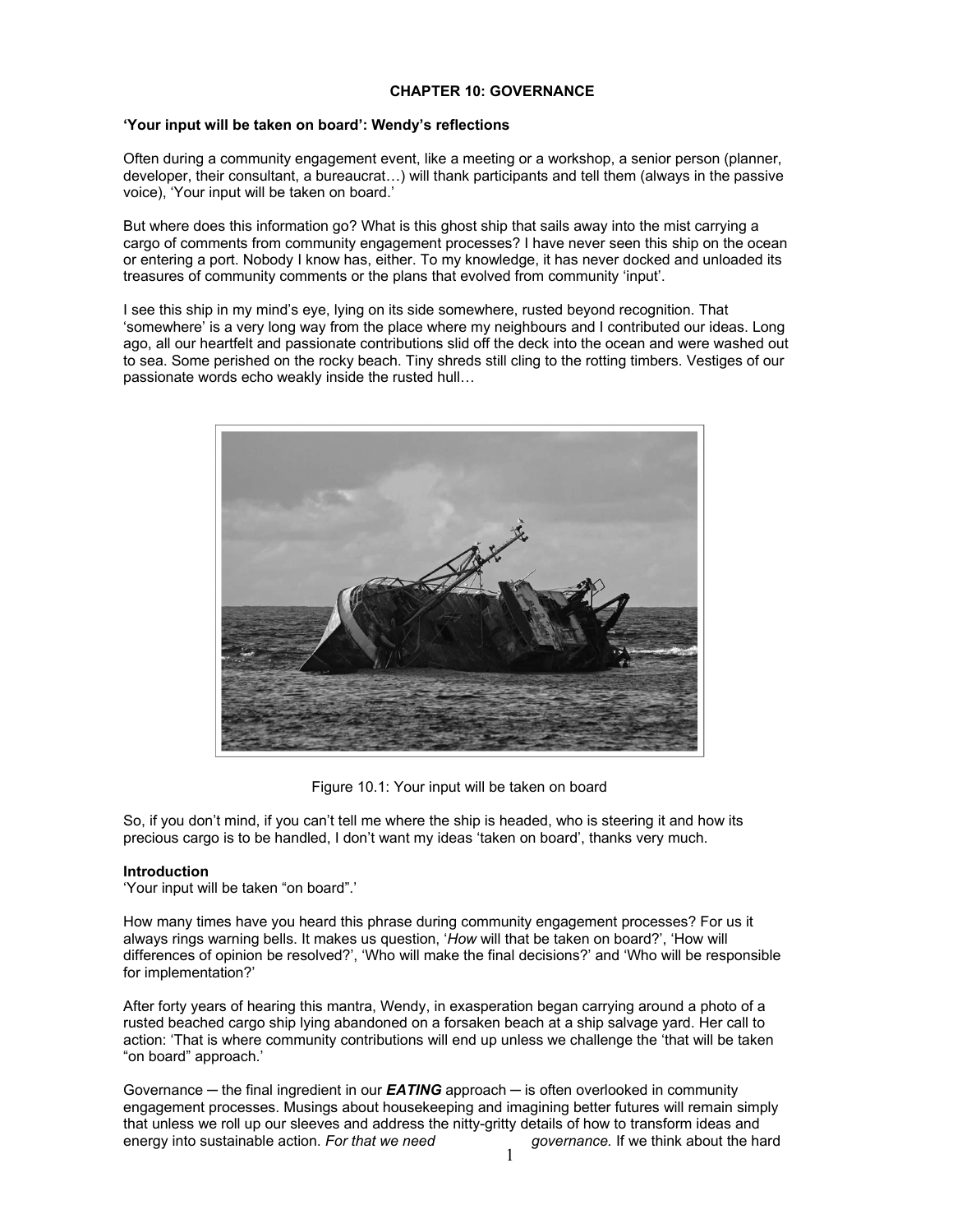# **CHAPTER 10: GOVERNANCE**

# **'Your input will be taken on board': Wendy's reflections**

Often during a community engagement event, like a meeting or a workshop, a senior person (planner, developer, their consultant, a bureaucrat…) will thank participants and tell them (always in the passive voice), 'Your input will be taken on board.'

But where does this information go? What is this ghost ship that sails away into the mist carrying a cargo of comments from community engagement processes? I have never seen this ship on the ocean or entering a port. Nobody I know has, either. To my knowledge, it has never docked and unloaded its treasures of community comments or the plans that evolved from community 'input'.

I see this ship in my mind's eye, lying on its side somewhere, rusted beyond recognition. That 'somewhere' is a very long way from the place where my neighbours and I contributed our ideas. Long ago, all our heartfelt and passionate contributions slid off the deck into the ocean and were washed out to sea. Some perished on the rocky beach. Tiny shreds still cling to the rotting timbers. Vestiges of our passionate words echo weakly inside the rusted hull…



Figure 10.1: Your input will be taken on board

So, if you don't mind, if you can't tell me where the ship is headed, who is steering it and how its precious cargo is to be handled, I don't want my ideas 'taken on board', thanks very much.

# **Introduction**

'Your input will be taken "on board".'

How many times have you heard this phrase during community engagement processes? For us it always rings warning bells. It makes us question, '*How* will that be taken on board?', 'How will differences of opinion be resolved?', 'Who will make the final decisions?' and 'Who will be responsible for implementation?'

After forty years of hearing this mantra, Wendy, in exasperation began carrying around a photo of a rusted beached cargo ship lying abandoned on a forsaken beach at a ship salvage yard. Her call to action: 'That is where community contributions will end up unless we challenge the 'that will be taken "on board" approach.'

Governance — the final ingredient in our **EATING** approach — is often overlooked in community engagement processes. Musings about housekeeping and imagining better futures will remain simply that unless we roll up our sleeves and address the nitty-gritty details of how to transform ideas and energy into sustainable action. *For that we need governance.* If we think about the hard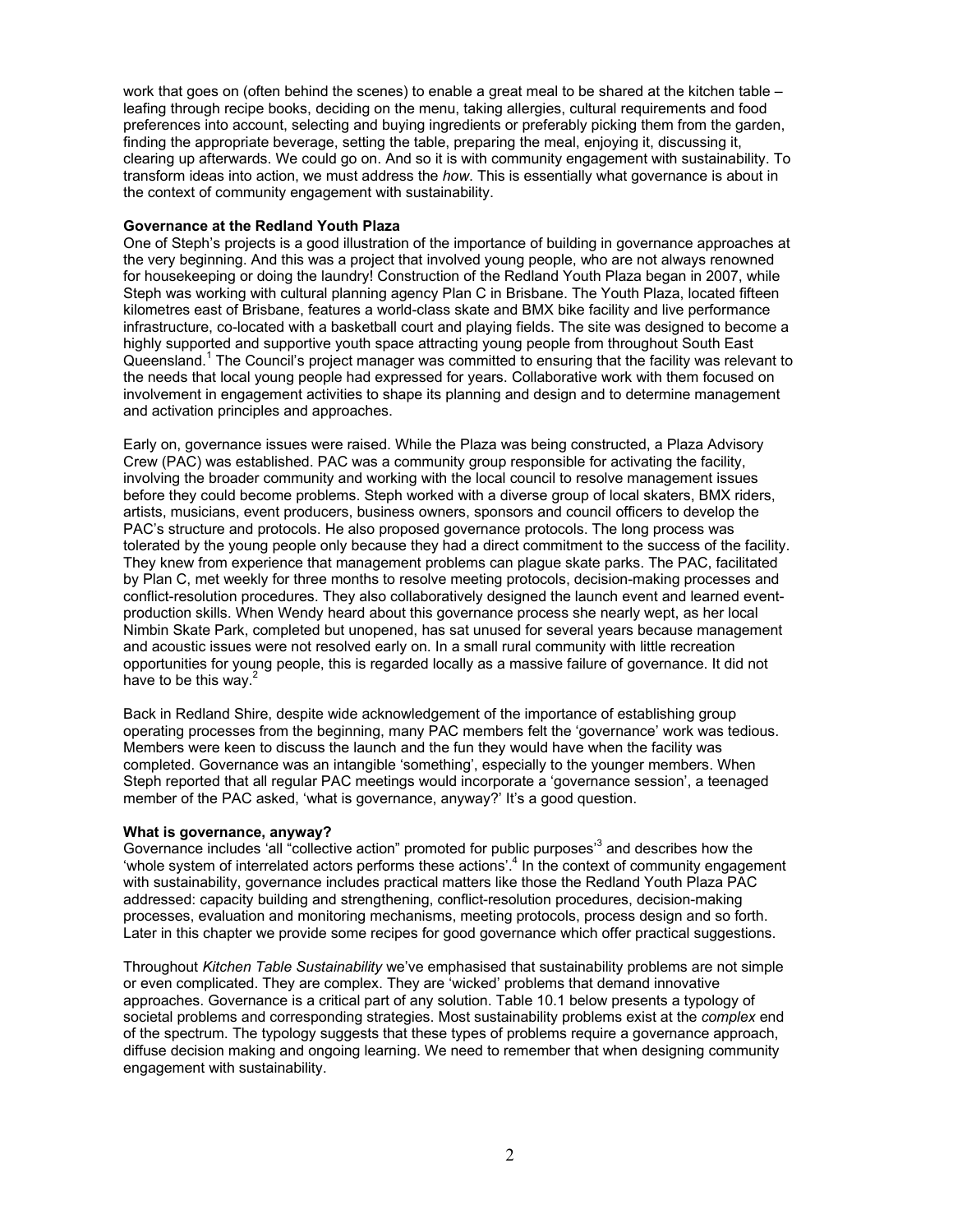work that goes on (often behind the scenes) to enable a great meal to be shared at the kitchen table – leafing through recipe books, deciding on the menu, taking allergies, cultural requirements and food preferences into account, selecting and buying ingredients or preferably picking them from the garden, finding the appropriate beverage, setting the table, preparing the meal, enjoying it, discussing it, clearing up afterwards. We could go on. And so it is with community engagement with sustainability. To transform ideas into action, we must address the *how*. This is essentially what governance is about in the context of community engagement with sustainability.

## **Governance at the Redland Youth Plaza**

One of Steph's projects is a good illustration of the importance of building in governance approaches at the very beginning. And this was a project that involved young people, who are not always renowned for housekeeping or doing the laundry! Construction of the Redland Youth Plaza began in 2007, while Steph was working with cultural planning agency Plan C in Brisbane. The Youth Plaza, located fifteen kilometres east of Brisbane, features a world-class skate and BMX bike facility and live performance infrastructure, co-located with a basketball court and playing fields. The site was designed to become a highly supported and supportive youth space attracting young people from throughout South East Queensland.<sup>1</sup> The Council's project manager was committed to ensuring that the facility was relevant to the needs that local young people had expressed for years. Collaborative work with them focused on involvement in engagement activities to shape its planning and design and to determine management and activation principles and approaches.

Early on, governance issues were raised. While the Plaza was being constructed, a Plaza Advisory Crew (PAC) was established. PAC was a community group responsible for activating the facility, involving the broader community and working with the local council to resolve management issues before they could become problems. Steph worked with a diverse group of local skaters, BMX riders, artists, musicians, event producers, business owners, sponsors and council officers to develop the PAC's structure and protocols. He also proposed governance protocols. The long process was tolerated by the young people only because they had a direct commitment to the success of the facility. They knew from experience that management problems can plague skate parks. The PAC, facilitated by Plan C, met weekly for three months to resolve meeting protocols, decision-making processes and conflict-resolution procedures. They also collaboratively designed the launch event and learned eventproduction skills. When Wendy heard about this governance process she nearly wept, as her local Nimbin Skate Park, completed but unopened, has sat unused for several years because management and acoustic issues were not resolved early on. In a small rural community with little recreation opportunities for young people, this is regarded locally as a massive failure of governance. It did not have to be this way. $<sup>2</sup>$ </sup>

Back in Redland Shire, despite wide acknowledgement of the importance of establishing group operating processes from the beginning, many PAC members felt the 'governance' work was tedious. Members were keen to discuss the launch and the fun they would have when the facility was completed. Governance was an intangible 'something', especially to the younger members. When Steph reported that all regular PAC meetings would incorporate a 'governance session', a teenaged member of the PAC asked, 'what is governance, anyway?' It's a good question.

## **What is governance, anyway?**

Governance includes 'all "collective action" promoted for public purposes<sup>3</sup> and describes how the 'whole system of interrelated actors performs these actions'.<sup>4</sup> In the context of community engagement with sustainability, governance includes practical matters like those the Redland Youth Plaza PAC addressed: capacity building and strengthening, conflict-resolution procedures, decision-making processes, evaluation and monitoring mechanisms, meeting protocols, process design and so forth. Later in this chapter we provide some recipes for good governance which offer practical suggestions.

Throughout *Kitchen Table Sustainability* we've emphasised that sustainability problems are not simple or even complicated. They are complex. They are 'wicked' problems that demand innovative approaches. Governance is a critical part of any solution. Table 10.1 below presents a typology of societal problems and corresponding strategies. Most sustainability problems exist at the *complex* end of the spectrum. The typology suggests that these types of problems require a governance approach, diffuse decision making and ongoing learning. We need to remember that when designing community engagement with sustainability.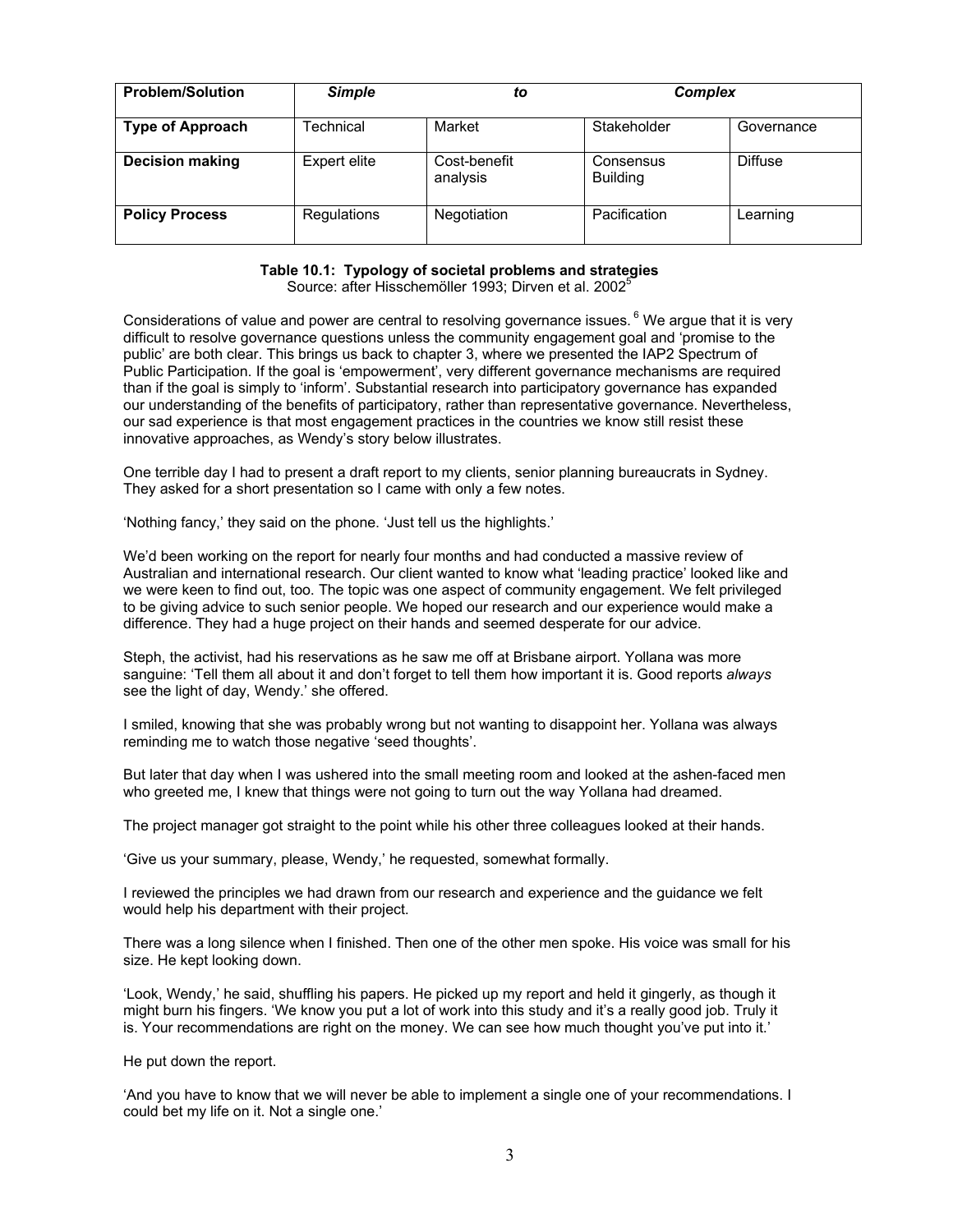| <b>Problem/Solution</b> | <b>Simple</b> | to                       |                              | <b>Complex</b> |
|-------------------------|---------------|--------------------------|------------------------------|----------------|
| <b>Type of Approach</b> | Technical     | Market                   | Stakeholder                  | Governance     |
| <b>Decision making</b>  | Expert elite  | Cost-benefit<br>analysis | Consensus<br><b>Building</b> | <b>Diffuse</b> |
| <b>Policy Process</b>   | Regulations   | Negotiation              | Pacification                 | Learning       |

# **Table 10.1: Typology of societal problems and strategies**

Source: after Hisschemöller 1993; Dirven et al. 20025

Considerations of value and power are central to resolving governance issues. <sup>6</sup> We argue that it is very difficult to resolve governance questions unless the community engagement goal and 'promise to the public' are both clear. This brings us back to chapter 3, where we presented the IAP2 Spectrum of Public Participation. If the goal is 'empowerment', very different governance mechanisms are required than if the goal is simply to 'inform'. Substantial research into participatory governance has expanded our understanding of the benefits of participatory, rather than representative governance. Nevertheless, our sad experience is that most engagement practices in the countries we know still resist these innovative approaches, as Wendy's story below illustrates.

One terrible day I had to present a draft report to my clients, senior planning bureaucrats in Sydney. They asked for a short presentation so I came with only a few notes.

'Nothing fancy,' they said on the phone. 'Just tell us the highlights.'

We'd been working on the report for nearly four months and had conducted a massive review of Australian and international research. Our client wanted to know what 'leading practice' looked like and we were keen to find out, too. The topic was one aspect of community engagement. We felt privileged to be giving advice to such senior people. We hoped our research and our experience would make a difference. They had a huge project on their hands and seemed desperate for our advice.

Steph, the activist, had his reservations as he saw me off at Brisbane airport. Yollana was more sanguine: 'Tell them all about it and don't forget to tell them how important it is. Good reports *always* see the light of day, Wendy.' she offered.

I smiled, knowing that she was probably wrong but not wanting to disappoint her. Yollana was always reminding me to watch those negative 'seed thoughts'.

But later that day when I was ushered into the small meeting room and looked at the ashen-faced men who greeted me, I knew that things were not going to turn out the way Yollana had dreamed.

The project manager got straight to the point while his other three colleagues looked at their hands.

'Give us your summary, please, Wendy,' he requested, somewhat formally.

I reviewed the principles we had drawn from our research and experience and the guidance we felt would help his department with their project.

There was a long silence when I finished. Then one of the other men spoke. His voice was small for his size. He kept looking down.

'Look, Wendy,' he said, shuffling his papers. He picked up my report and held it gingerly, as though it might burn his fingers. 'We know you put a lot of work into this study and it's a really good job. Truly it is. Your recommendations are right on the money. We can see how much thought you've put into it.'

He put down the report.

'And you have to know that we will never be able to implement a single one of your recommendations. I could bet my life on it. Not a single one.'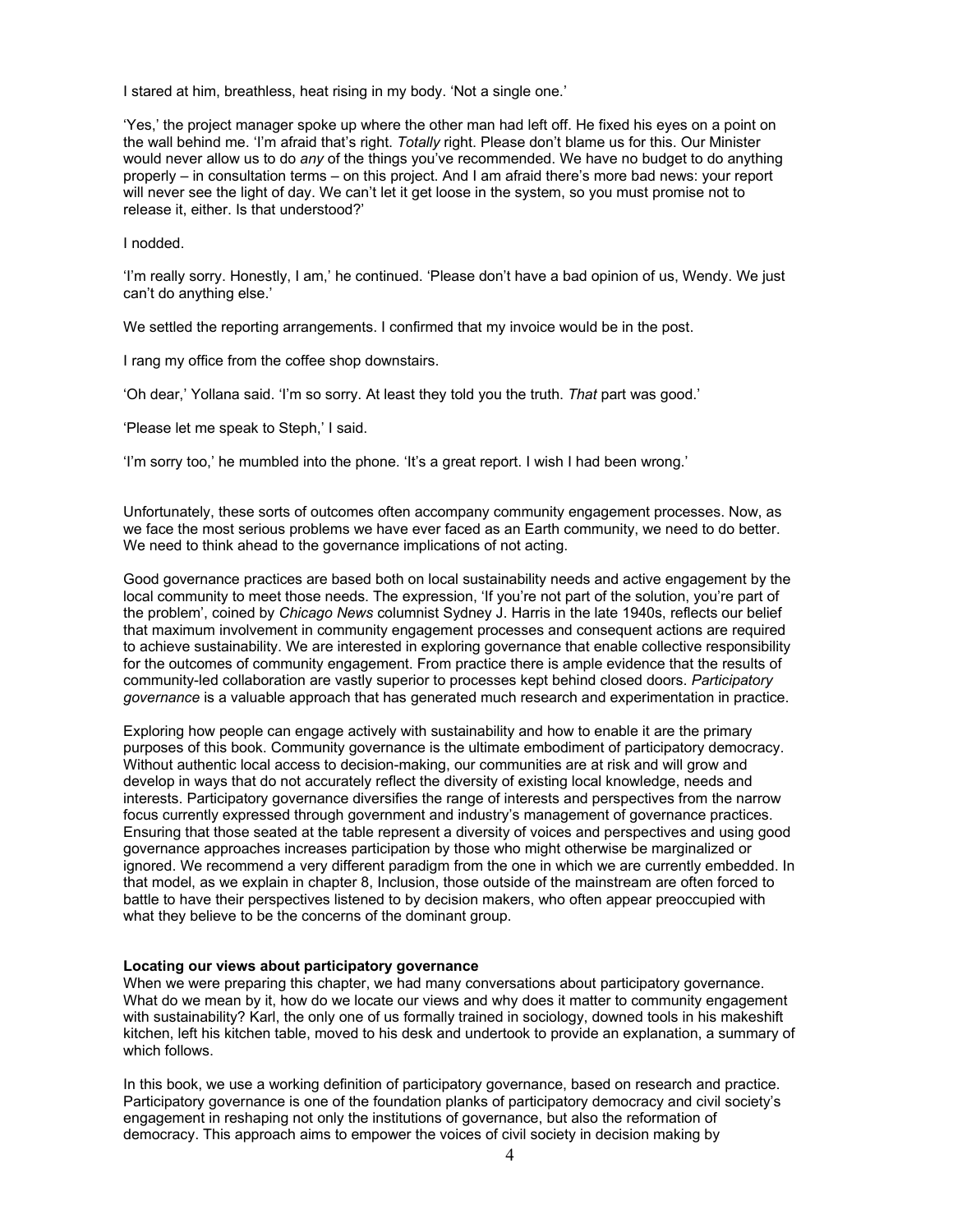I stared at him, breathless, heat rising in my body. 'Not a single one.'

'Yes,' the project manager spoke up where the other man had left off. He fixed his eyes on a point on the wall behind me. 'I'm afraid that's right. *Totally* right. Please don't blame us for this. Our Minister would never allow us to do *any* of the things you've recommended. We have no budget to do anything properly – in consultation terms – on this project. And I am afraid there's more bad news: your report will never see the light of day. We can't let it get loose in the system, so you must promise not to release it, either. Is that understood?'

I nodded.

'I'm really sorry. Honestly, I am,' he continued. 'Please don't have a bad opinion of us, Wendy. We just can't do anything else.'

We settled the reporting arrangements. I confirmed that my invoice would be in the post.

I rang my office from the coffee shop downstairs.

'Oh dear,' Yollana said. 'I'm so sorry. At least they told you the truth. *That* part was good.'

'Please let me speak to Steph,' I said.

'I'm sorry too,' he mumbled into the phone. 'It's a great report. I wish I had been wrong.'

Unfortunately, these sorts of outcomes often accompany community engagement processes. Now, as we face the most serious problems we have ever faced as an Earth community, we need to do better. We need to think ahead to the governance implications of not acting.

Good governance practices are based both on local sustainability needs and active engagement by the local community to meet those needs. The expression, 'If you're not part of the solution, you're part of the problem', coined by *Chicago News* columnist Sydney J. Harris in the late 1940s, reflects our belief that maximum involvement in community engagement processes and consequent actions are required to achieve sustainability. We are interested in exploring governance that enable collective responsibility for the outcomes of community engagement. From practice there is ample evidence that the results of community-led collaboration are vastly superior to processes kept behind closed doors. *Participatory governance* is a valuable approach that has generated much research and experimentation in practice.

Exploring how people can engage actively with sustainability and how to enable it are the primary purposes of this book. Community governance is the ultimate embodiment of participatory democracy. Without authentic local access to decision-making, our communities are at risk and will grow and develop in ways that do not accurately reflect the diversity of existing local knowledge, needs and interests. Participatory governance diversifies the range of interests and perspectives from the narrow focus currently expressed through government and industry's management of governance practices. Ensuring that those seated at the table represent a diversity of voices and perspectives and using good governance approaches increases participation by those who might otherwise be marginalized or ignored. We recommend a very different paradigm from the one in which we are currently embedded. In that model, as we explain in chapter 8, Inclusion, those outside of the mainstream are often forced to battle to have their perspectives listened to by decision makers, who often appear preoccupied with what they believe to be the concerns of the dominant group.

## **Locating our views about participatory governance**

When we were preparing this chapter, we had many conversations about participatory governance. What do we mean by it, how do we locate our views and why does it matter to community engagement with sustainability? Karl, the only one of us formally trained in sociology, downed tools in his makeshift kitchen, left his kitchen table, moved to his desk and undertook to provide an explanation, a summary of which follows.

In this book, we use a working definition of participatory governance, based on research and practice. Participatory governance is one of the foundation planks of participatory democracy and civil society's engagement in reshaping not only the institutions of governance, but also the reformation of democracy. This approach aims to empower the voices of civil society in decision making by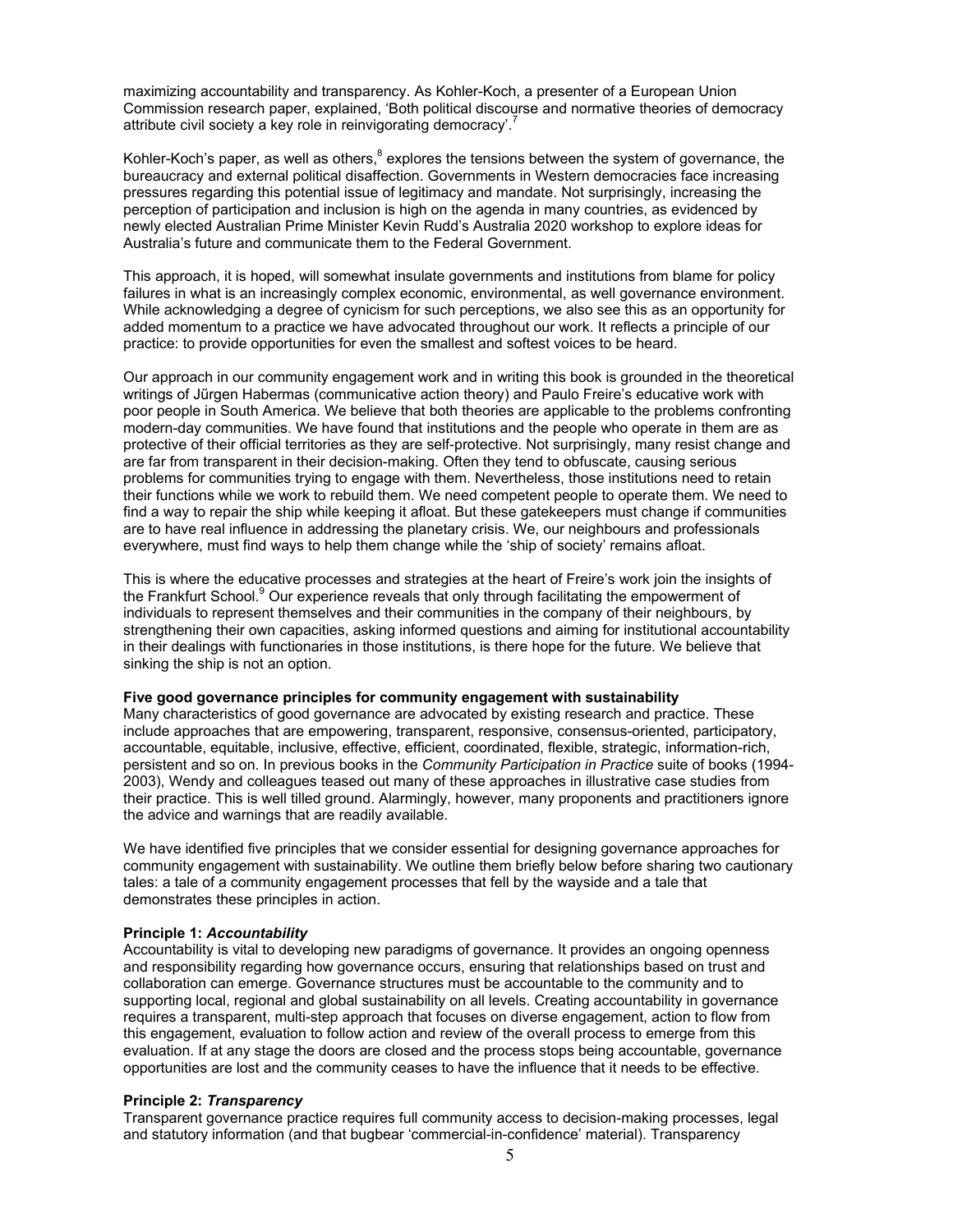maximizing accountability and transparency. As Kohler-Koch, a presenter of a European Union Commission research paper, explained, 'Both political discourse and normative theories of democracy attribute civil society a key role in reinvigorating democracy'.<sup>7</sup>

Kohler-Koch's paper, as well as others, $^8$  explores the tensions between the system of governance, the bureaucracy and external political disaffection. Governments in Western democracies face increasing pressures regarding this potential issue of legitimacy and mandate. Not surprisingly, increasing the perception of participation and inclusion is high on the agenda in many countries, as evidenced by newly elected Australian Prime Minister Kevin Rudd's Australia 2020 workshop to explore ideas for Australia's future and communicate them to the Federal Government.

This approach, it is hoped, will somewhat insulate governments and institutions from blame for policy failures in what is an increasingly complex economic, environmental, as well governance environment. While acknowledging a degree of cynicism for such perceptions, we also see this as an opportunity for added momentum to a practice we have advocated throughout our work. It reflects a principle of our practice: to provide opportunities for even the smallest and softest voices to be heard.

Our approach in our community engagement work and in writing this book is grounded in the theoretical writings of Jűrgen Habermas (communicative action theory) and Paulo Freire's educative work with poor people in South America. We believe that both theories are applicable to the problems confronting modern-day communities. We have found that institutions and the people who operate in them are as protective of their official territories as they are self-protective. Not surprisingly, many resist change and are far from transparent in their decision-making. Often they tend to obfuscate, causing serious problems for communities trying to engage with them. Nevertheless, those institutions need to retain their functions while we work to rebuild them. We need competent people to operate them. We need to find a way to repair the ship while keeping it afloat. But these gatekeepers must change if communities are to have real influence in addressing the planetary crisis. We, our neighbours and professionals everywhere, must find ways to help them change while the 'ship of society' remains afloat.

This is where the educative processes and strategies at the heart of Freire's work join the insights of the Frankfurt School.<sup>9</sup> Our experience reveals that only through facilitating the empowerment of individuals to represent themselves and their communities in the company of their neighbours, by strengthening their own capacities, asking informed questions and aiming for institutional accountability in their dealings with functionaries in those institutions, is there hope for the future. We believe that sinking the ship is not an option.

## **Five good governance principles for community engagement with sustainability**

Many characteristics of good governance are advocated by existing research and practice. These include approaches that are empowering, transparent, responsive, consensus-oriented, participatory, accountable, equitable, inclusive, effective, efficient, coordinated, flexible, strategic, information-rich, persistent and so on. In previous books in the *Community Participation in Practice* suite of books (1994- 2003), Wendy and colleagues teased out many of these approaches in illustrative case studies from their practice. This is well tilled ground. Alarmingly, however, many proponents and practitioners ignore the advice and warnings that are readily available.

We have identified five principles that we consider essential for designing governance approaches for community engagement with sustainability. We outline them briefly below before sharing two cautionary tales: a tale of a community engagement processes that fell by the wayside and a tale that demonstrates these principles in action.

## **Principle 1:** *Accountability*

Accountability is vital to developing new paradigms of governance. It provides an ongoing openness and responsibility regarding how governance occurs, ensuring that relationships based on trust and collaboration can emerge. Governance structures must be accountable to the community and to supporting local, regional and global sustainability on all levels. Creating accountability in governance requires a transparent, multi-step approach that focuses on diverse engagement, action to flow from this engagement, evaluation to follow action and review of the overall process to emerge from this evaluation. If at any stage the doors are closed and the process stops being accountable, governance opportunities are lost and the community ceases to have the influence that it needs to be effective.

## **Principle 2:** *Transparency*

Transparent governance practice requires full community access to decision-making processes, legal and statutory information (and that bugbear 'commercial-in-confidence' material). Transparency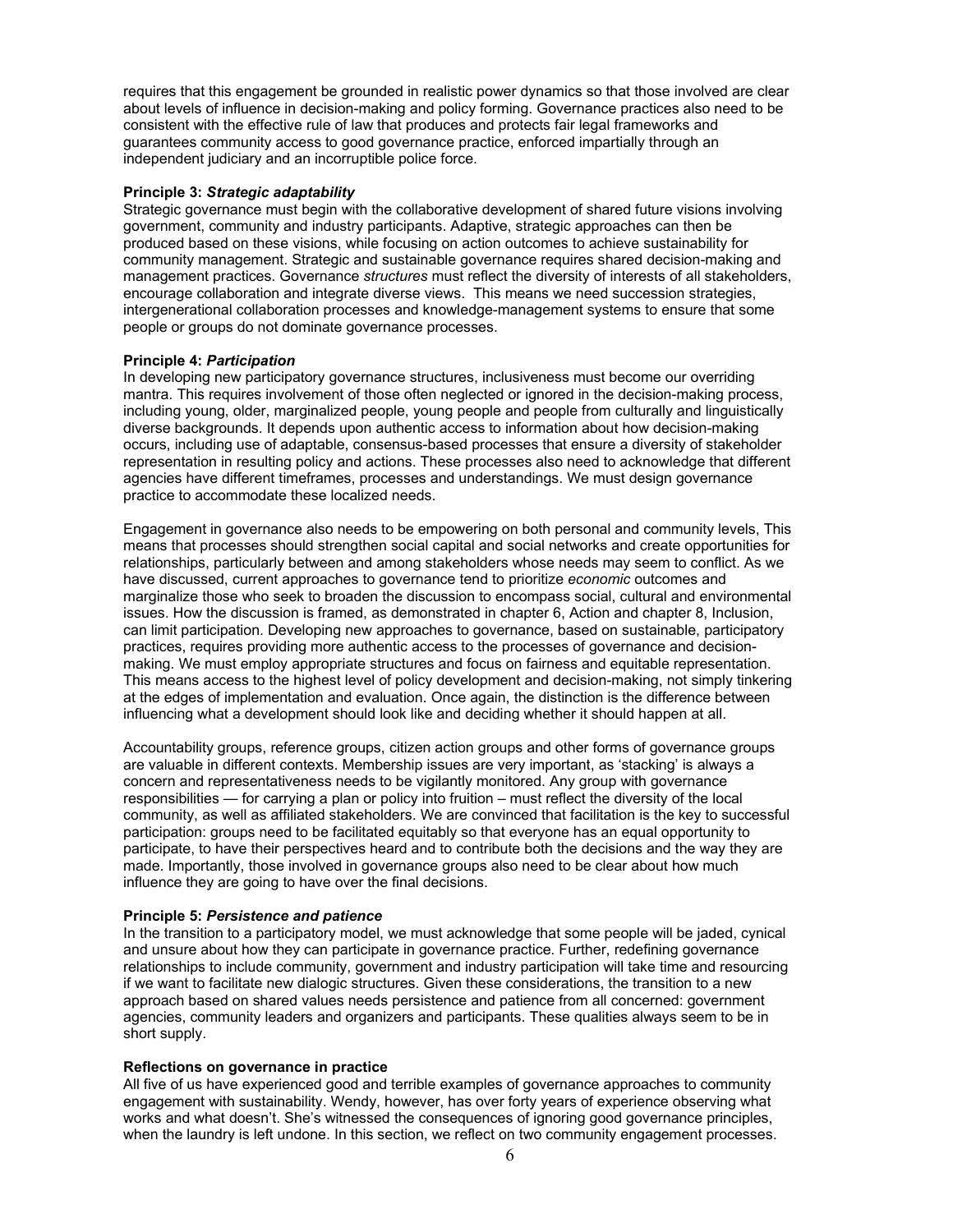requires that this engagement be grounded in realistic power dynamics so that those involved are clear about levels of influence in decision-making and policy forming. Governance practices also need to be consistent with the effective rule of law that produces and protects fair legal frameworks and guarantees community access to good governance practice, enforced impartially through an independent judiciary and an incorruptible police force.

## **Principle 3:** *Strategic adaptability*

Strategic governance must begin with the collaborative development of shared future visions involving government, community and industry participants. Adaptive, strategic approaches can then be produced based on these visions, while focusing on action outcomes to achieve sustainability for community management. Strategic and sustainable governance requires shared decision-making and management practices. Governance *structures* must reflect the diversity of interests of all stakeholders, encourage collaboration and integrate diverse views. This means we need succession strategies, intergenerational collaboration processes and knowledge-management systems to ensure that some people or groups do not dominate governance processes.

## **Principle 4:** *Participation*

In developing new participatory governance structures, inclusiveness must become our overriding mantra. This requires involvement of those often neglected or ignored in the decision-making process, including young, older, marginalized people, young people and people from culturally and linguistically diverse backgrounds. It depends upon authentic access to information about how decision-making occurs, including use of adaptable, consensus-based processes that ensure a diversity of stakeholder representation in resulting policy and actions. These processes also need to acknowledge that different agencies have different timeframes, processes and understandings. We must design governance practice to accommodate these localized needs.

Engagement in governance also needs to be empowering on both personal and community levels, This means that processes should strengthen social capital and social networks and create opportunities for relationships, particularly between and among stakeholders whose needs may seem to conflict. As we have discussed, current approaches to governance tend to prioritize *economic* outcomes and marginalize those who seek to broaden the discussion to encompass social, cultural and environmental issues. How the discussion is framed, as demonstrated in chapter 6, Action and chapter 8, Inclusion, can limit participation. Developing new approaches to governance, based on sustainable, participatory practices, requires providing more authentic access to the processes of governance and decisionmaking. We must employ appropriate structures and focus on fairness and equitable representation. This means access to the highest level of policy development and decision-making, not simply tinkering at the edges of implementation and evaluation. Once again, the distinction is the difference between influencing what a development should look like and deciding whether it should happen at all.

Accountability groups, reference groups, citizen action groups and other forms of governance groups are valuable in different contexts. Membership issues are very important, as 'stacking' is always a concern and representativeness needs to be vigilantly monitored. Any group with governance responsibilities — for carrying a plan or policy into fruition – must reflect the diversity of the local community, as well as affiliated stakeholders. We are convinced that facilitation is the key to successful participation: groups need to be facilitated equitably so that everyone has an equal opportunity to participate, to have their perspectives heard and to contribute both the decisions and the way they are made. Importantly, those involved in governance groups also need to be clear about how much influence they are going to have over the final decisions.

## **Principle 5:** *Persistence and patience*

In the transition to a participatory model, we must acknowledge that some people will be jaded, cynical and unsure about how they can participate in governance practice. Further, redefining governance relationships to include community, government and industry participation will take time and resourcing if we want to facilitate new dialogic structures. Given these considerations, the transition to a new approach based on shared values needs persistence and patience from all concerned: government agencies, community leaders and organizers and participants. These qualities always seem to be in short supply.

## **Reflections on governance in practice**

All five of us have experienced good and terrible examples of governance approaches to community engagement with sustainability. Wendy, however, has over forty years of experience observing what works and what doesn't. She's witnessed the consequences of ignoring good governance principles, when the laundry is left undone. In this section, we reflect on two community engagement processes.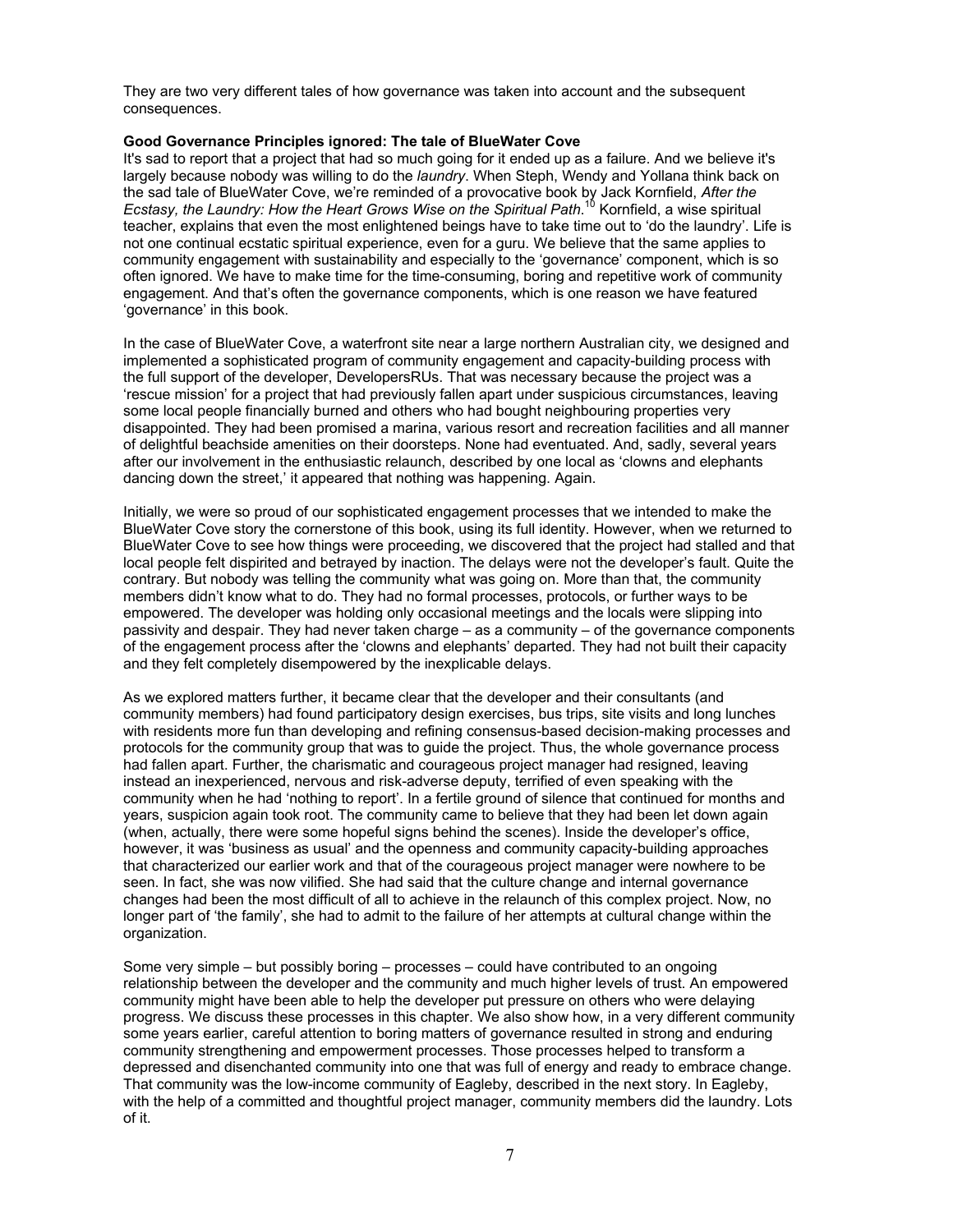They are two very different tales of how governance was taken into account and the subsequent consequences.

## **Good Governance Principles ignored: The tale of BlueWater Cove**

It's sad to report that a project that had so much going for it ended up as a failure. And we believe it's largely because nobody was willing to do the *laundry*. When Steph, Wendy and Yollana think back on the sad tale of BlueWater Cove, we're reminded of a provocative book by Jack Kornfield, *After the Ecstasy, the Laundry: How the Heart Grows Wise on the Spiritual Path*. 10 Kornfield, a wise spiritual teacher, explains that even the most enlightened beings have to take time out to 'do the laundry'. Life is not one continual ecstatic spiritual experience, even for a guru. We believe that the same applies to community engagement with sustainability and especially to the 'governance' component, which is so often ignored. We have to make time for the time-consuming, boring and repetitive work of community engagement. And that's often the governance components, which is one reason we have featured 'governance' in this book.

In the case of BlueWater Cove, a waterfront site near a large northern Australian city, we designed and implemented a sophisticated program of community engagement and capacity-building process with the full support of the developer, DevelopersRUs. That was necessary because the project was a 'rescue mission' for a project that had previously fallen apart under suspicious circumstances, leaving some local people financially burned and others who had bought neighbouring properties very disappointed. They had been promised a marina, various resort and recreation facilities and all manner of delightful beachside amenities on their doorsteps. None had eventuated. And, sadly, several years after our involvement in the enthusiastic relaunch, described by one local as 'clowns and elephants dancing down the street,' it appeared that nothing was happening. Again.

Initially, we were so proud of our sophisticated engagement processes that we intended to make the BlueWater Cove story the cornerstone of this book, using its full identity. However, when we returned to BlueWater Cove to see how things were proceeding, we discovered that the project had stalled and that local people felt dispirited and betrayed by inaction. The delays were not the developer's fault. Quite the contrary. But nobody was telling the community what was going on. More than that, the community members didn't know what to do. They had no formal processes, protocols, or further ways to be empowered. The developer was holding only occasional meetings and the locals were slipping into passivity and despair. They had never taken charge – as a community – of the governance components of the engagement process after the 'clowns and elephants' departed. They had not built their capacity and they felt completely disempowered by the inexplicable delays.

As we explored matters further, it became clear that the developer and their consultants (and community members) had found participatory design exercises, bus trips, site visits and long lunches with residents more fun than developing and refining consensus-based decision-making processes and protocols for the community group that was to guide the project. Thus, the whole governance process had fallen apart. Further, the charismatic and courageous project manager had resigned, leaving instead an inexperienced, nervous and risk-adverse deputy, terrified of even speaking with the community when he had 'nothing to report'. In a fertile ground of silence that continued for months and years, suspicion again took root. The community came to believe that they had been let down again (when, actually, there were some hopeful signs behind the scenes). Inside the developer's office, however, it was 'business as usual' and the openness and community capacity-building approaches that characterized our earlier work and that of the courageous project manager were nowhere to be seen. In fact, she was now vilified. She had said that the culture change and internal governance changes had been the most difficult of all to achieve in the relaunch of this complex project. Now, no longer part of 'the family', she had to admit to the failure of her attempts at cultural change within the organization.

Some very simple – but possibly boring – processes – could have contributed to an ongoing relationship between the developer and the community and much higher levels of trust. An empowered community might have been able to help the developer put pressure on others who were delaying progress. We discuss these processes in this chapter. We also show how, in a very different community some years earlier, careful attention to boring matters of governance resulted in strong and enduring community strengthening and empowerment processes. Those processes helped to transform a depressed and disenchanted community into one that was full of energy and ready to embrace change. That community was the low-income community of Eagleby, described in the next story. In Eagleby, with the help of a committed and thoughtful project manager, community members did the laundry. Lots of it.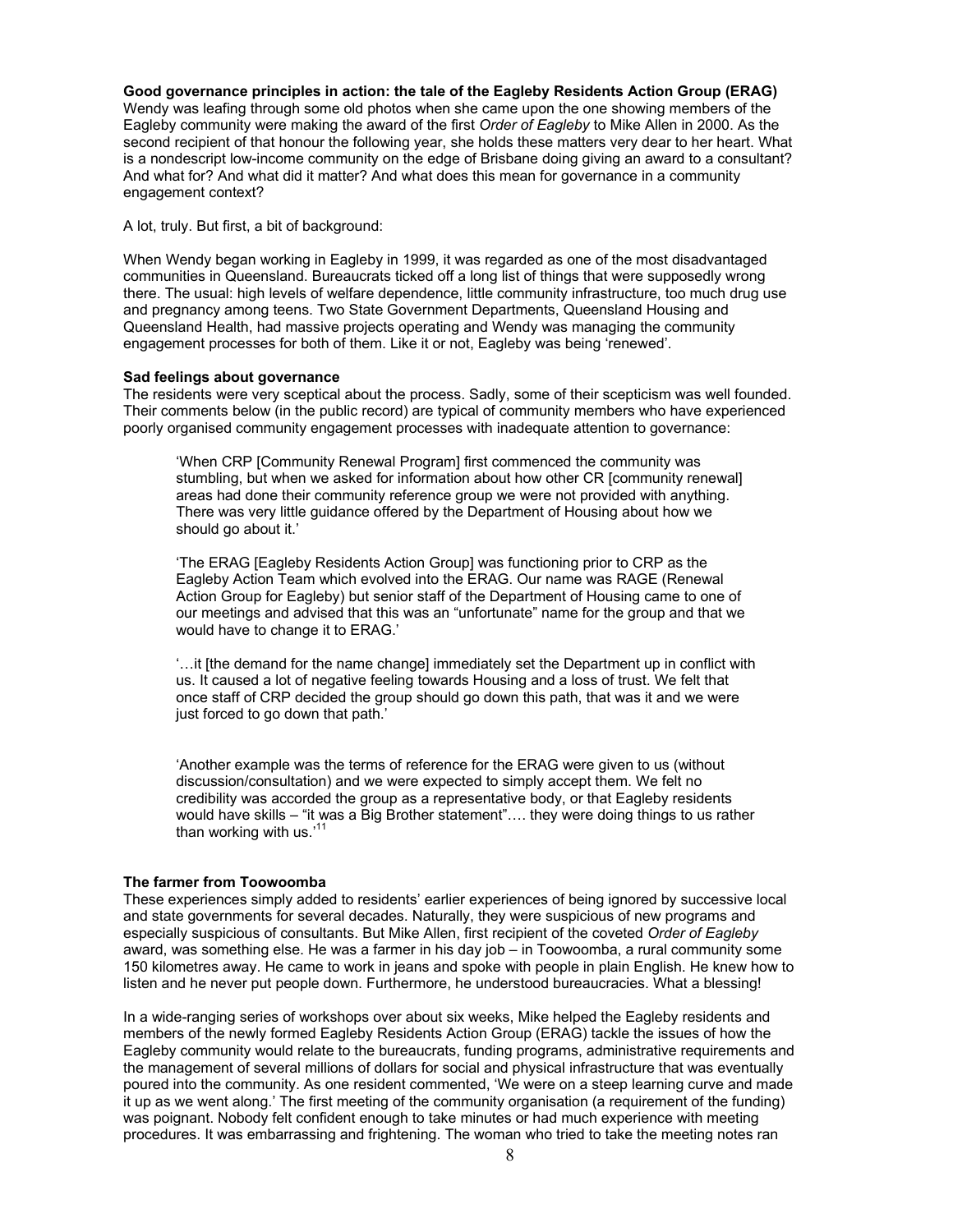**Good governance principles in action: the tale of the Eagleby Residents Action Group (ERAG)**  Wendy was leafing through some old photos when she came upon the one showing members of the Eagleby community were making the award of the first *Order of Eagleby* to Mike Allen in 2000. As the second recipient of that honour the following year, she holds these matters very dear to her heart. What is a nondescript low-income community on the edge of Brisbane doing giving an award to a consultant? And what for? And what did it matter? And what does this mean for governance in a community engagement context?

A lot, truly. But first, a bit of background:

When Wendy began working in Eagleby in 1999, it was regarded as one of the most disadvantaged communities in Queensland. Bureaucrats ticked off a long list of things that were supposedly wrong there. The usual: high levels of welfare dependence, little community infrastructure, too much drug use and pregnancy among teens. Two State Government Departments, Queensland Housing and Queensland Health, had massive projects operating and Wendy was managing the community engagement processes for both of them. Like it or not, Eagleby was being 'renewed'.

#### **Sad feelings about governance**

The residents were very sceptical about the process. Sadly, some of their scepticism was well founded. Their comments below (in the public record) are typical of community members who have experienced poorly organised community engagement processes with inadequate attention to governance:

'When CRP [Community Renewal Program] first commenced the community was stumbling, but when we asked for information about how other CR [community renewal] areas had done their community reference group we were not provided with anything. There was very little guidance offered by the Department of Housing about how we should go about it.'

'The ERAG [Eagleby Residents Action Group] was functioning prior to CRP as the Eagleby Action Team which evolved into the ERAG. Our name was RAGE (Renewal Action Group for Eagleby) but senior staff of the Department of Housing came to one of our meetings and advised that this was an "unfortunate" name for the group and that we would have to change it to ERAG.'

'…it [the demand for the name change] immediately set the Department up in conflict with us. It caused a lot of negative feeling towards Housing and a loss of trust. We felt that once staff of CRP decided the group should go down this path, that was it and we were just forced to go down that path.'

'Another example was the terms of reference for the ERAG were given to us (without discussion/consultation) and we were expected to simply accept them. We felt no credibility was accorded the group as a representative body, or that Eagleby residents would have skills – "it was a Big Brother statement"…. they were doing things to us rather than working with us. $11$ 

#### **The farmer from Toowoomba**

These experiences simply added to residents' earlier experiences of being ignored by successive local and state governments for several decades. Naturally, they were suspicious of new programs and especially suspicious of consultants. But Mike Allen, first recipient of the coveted *Order of Eagleby*  award, was something else. He was a farmer in his day job – in Toowoomba, a rural community some 150 kilometres away. He came to work in jeans and spoke with people in plain English. He knew how to listen and he never put people down. Furthermore, he understood bureaucracies. What a blessing!

In a wide-ranging series of workshops over about six weeks, Mike helped the Eagleby residents and members of the newly formed Eagleby Residents Action Group (ERAG) tackle the issues of how the Eagleby community would relate to the bureaucrats, funding programs, administrative requirements and the management of several millions of dollars for social and physical infrastructure that was eventually poured into the community. As one resident commented, 'We were on a steep learning curve and made it up as we went along.' The first meeting of the community organisation (a requirement of the funding) was poignant. Nobody felt confident enough to take minutes or had much experience with meeting procedures. It was embarrassing and frightening. The woman who tried to take the meeting notes ran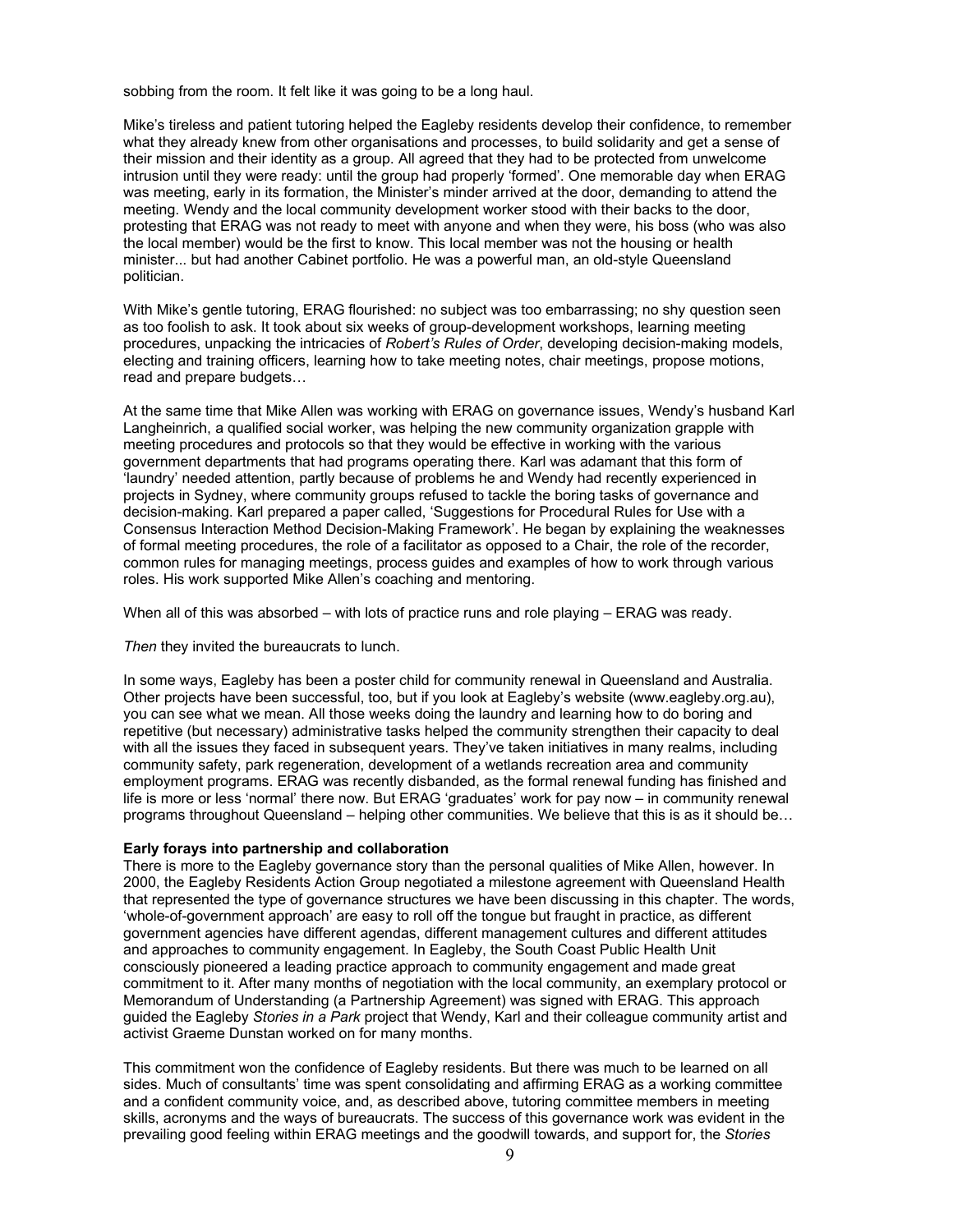sobbing from the room. It felt like it was going to be a long haul.

Mike's tireless and patient tutoring helped the Eagleby residents develop their confidence, to remember what they already knew from other organisations and processes, to build solidarity and get a sense of their mission and their identity as a group. All agreed that they had to be protected from unwelcome intrusion until they were ready: until the group had properly 'formed'. One memorable day when ERAG was meeting, early in its formation, the Minister's minder arrived at the door, demanding to attend the meeting. Wendy and the local community development worker stood with their backs to the door, protesting that ERAG was not ready to meet with anyone and when they were, his boss (who was also the local member) would be the first to know. This local member was not the housing or health minister... but had another Cabinet portfolio. He was a powerful man, an old-style Queensland politician.

With Mike's gentle tutoring, ERAG flourished: no subject was too embarrassing; no shy question seen as too foolish to ask. It took about six weeks of group-development workshops, learning meeting procedures, unpacking the intricacies of *Robert's Rules of Order*, developing decision-making models, electing and training officers, learning how to take meeting notes, chair meetings, propose motions, read and prepare budgets…

At the same time that Mike Allen was working with ERAG on governance issues, Wendy's husband Karl Langheinrich, a qualified social worker, was helping the new community organization grapple with meeting procedures and protocols so that they would be effective in working with the various government departments that had programs operating there. Karl was adamant that this form of 'laundry' needed attention, partly because of problems he and Wendy had recently experienced in projects in Sydney, where community groups refused to tackle the boring tasks of governance and decision-making. Karl prepared a paper called, 'Suggestions for Procedural Rules for Use with a Consensus Interaction Method Decision-Making Framework'. He began by explaining the weaknesses of formal meeting procedures, the role of a facilitator as opposed to a Chair, the role of the recorder, common rules for managing meetings, process guides and examples of how to work through various roles. His work supported Mike Allen's coaching and mentoring.

When all of this was absorbed – with lots of practice runs and role playing – ERAG was ready.

*Then* they invited the bureaucrats to lunch.

In some ways, Eagleby has been a poster child for community renewal in Queensland and Australia. Other projects have been successful, too, but if you look at Eagleby's website (www.eagleby.org.au), you can see what we mean. All those weeks doing the laundry and learning how to do boring and repetitive (but necessary) administrative tasks helped the community strengthen their capacity to deal with all the issues they faced in subsequent years. They've taken initiatives in many realms, including community safety, park regeneration, development of a wetlands recreation area and community employment programs. ERAG was recently disbanded, as the formal renewal funding has finished and life is more or less 'normal' there now. But ERAG 'graduates' work for pay now – in community renewal programs throughout Queensland – helping other communities. We believe that this is as it should be…

## **Early forays into partnership and collaboration**

There is more to the Eagleby governance story than the personal qualities of Mike Allen, however. In 2000, the Eagleby Residents Action Group negotiated a milestone agreement with Queensland Health that represented the type of governance structures we have been discussing in this chapter. The words, 'whole-of-government approach' are easy to roll off the tongue but fraught in practice, as different government agencies have different agendas, different management cultures and different attitudes and approaches to community engagement. In Eagleby, the South Coast Public Health Unit consciously pioneered a leading practice approach to community engagement and made great commitment to it. After many months of negotiation with the local community, an exemplary protocol or Memorandum of Understanding (a Partnership Agreement) was signed with ERAG. This approach guided the Eagleby *Stories in a Park* project that Wendy, Karl and their colleague community artist and activist Graeme Dunstan worked on for many months.

This commitment won the confidence of Eagleby residents. But there was much to be learned on all sides. Much of consultants' time was spent consolidating and affirming ERAG as a working committee and a confident community voice, and, as described above, tutoring committee members in meeting skills, acronyms and the ways of bureaucrats. The success of this governance work was evident in the prevailing good feeling within ERAG meetings and the goodwill towards, and support for, the *Stories*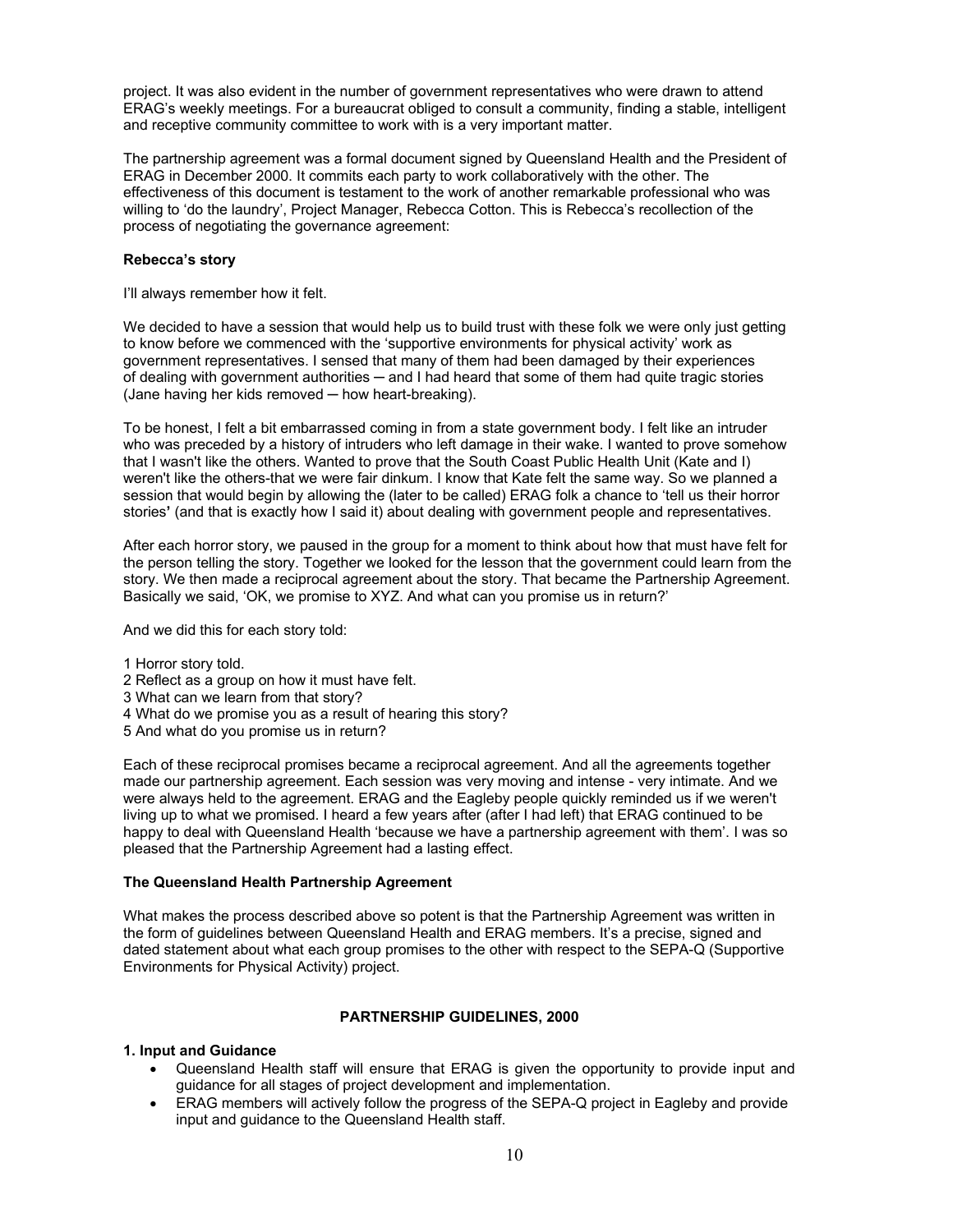project. It was also evident in the number of government representatives who were drawn to attend ERAG's weekly meetings. For a bureaucrat obliged to consult a community, finding a stable, intelligent and receptive community committee to work with is a very important matter.

The partnership agreement was a formal document signed by Queensland Health and the President of ERAG in December 2000. It commits each party to work collaboratively with the other. The effectiveness of this document is testament to the work of another remarkable professional who was willing to 'do the laundry', Project Manager, Rebecca Cotton. This is Rebecca's recollection of the process of negotiating the governance agreement:

# **Rebecca's story**

I'll always remember how it felt.

We decided to have a session that would help us to build trust with these folk we were only just getting to know before we commenced with the 'supportive environments for physical activity' work as government representatives. I sensed that many of them had been damaged by their experiences of dealing with government authorities — and I had heard that some of them had quite tragic stories (Jane having her kids removed ─ how heart-breaking).

To be honest, I felt a bit embarrassed coming in from a state government body. I felt like an intruder who was preceded by a history of intruders who left damage in their wake. I wanted to prove somehow that I wasn't like the others. Wanted to prove that the South Coast Public Health Unit (Kate and I) weren't like the others-that we were fair dinkum. I know that Kate felt the same way. So we planned a session that would begin by allowing the (later to be called) ERAG folk a chance to 'tell us their horror stories**'** (and that is exactly how I said it) about dealing with government people and representatives.

After each horror story, we paused in the group for a moment to think about how that must have felt for the person telling the story. Together we looked for the lesson that the government could learn from the story. We then made a reciprocal agreement about the story. That became the Partnership Agreement. Basically we said, 'OK, we promise to XYZ. And what can you promise us in return?'

And we did this for each story told:

1 Horror story told.

- 2 Reflect as a group on how it must have felt.
- 3 What can we learn from that story?
- 4 What do we promise you as a result of hearing this story?
- 5 And what do you promise us in return?

Each of these reciprocal promises became a reciprocal agreement. And all the agreements together made our partnership agreement. Each session was very moving and intense - very intimate. And we were always held to the agreement. ERAG and the Eagleby people quickly reminded us if we weren't living up to what we promised. I heard a few years after (after I had left) that ERAG continued to be happy to deal with Queensland Health 'because we have a partnership agreement with them'. I was so pleased that the Partnership Agreement had a lasting effect.

# **The Queensland Health Partnership Agreement**

What makes the process described above so potent is that the Partnership Agreement was written in the form of guidelines between Queensland Health and ERAG members. It's a precise, signed and dated statement about what each group promises to the other with respect to the SEPA-Q (Supportive Environments for Physical Activity) project.

# **PARTNERSHIP GUIDELINES, 2000**

# **1. Input and Guidance**

- Queensland Health staff will ensure that ERAG is given the opportunity to provide input and guidance for all stages of project development and implementation.
- ERAG members will actively follow the progress of the SEPA-Q project in Eagleby and provide input and guidance to the Queensland Health staff.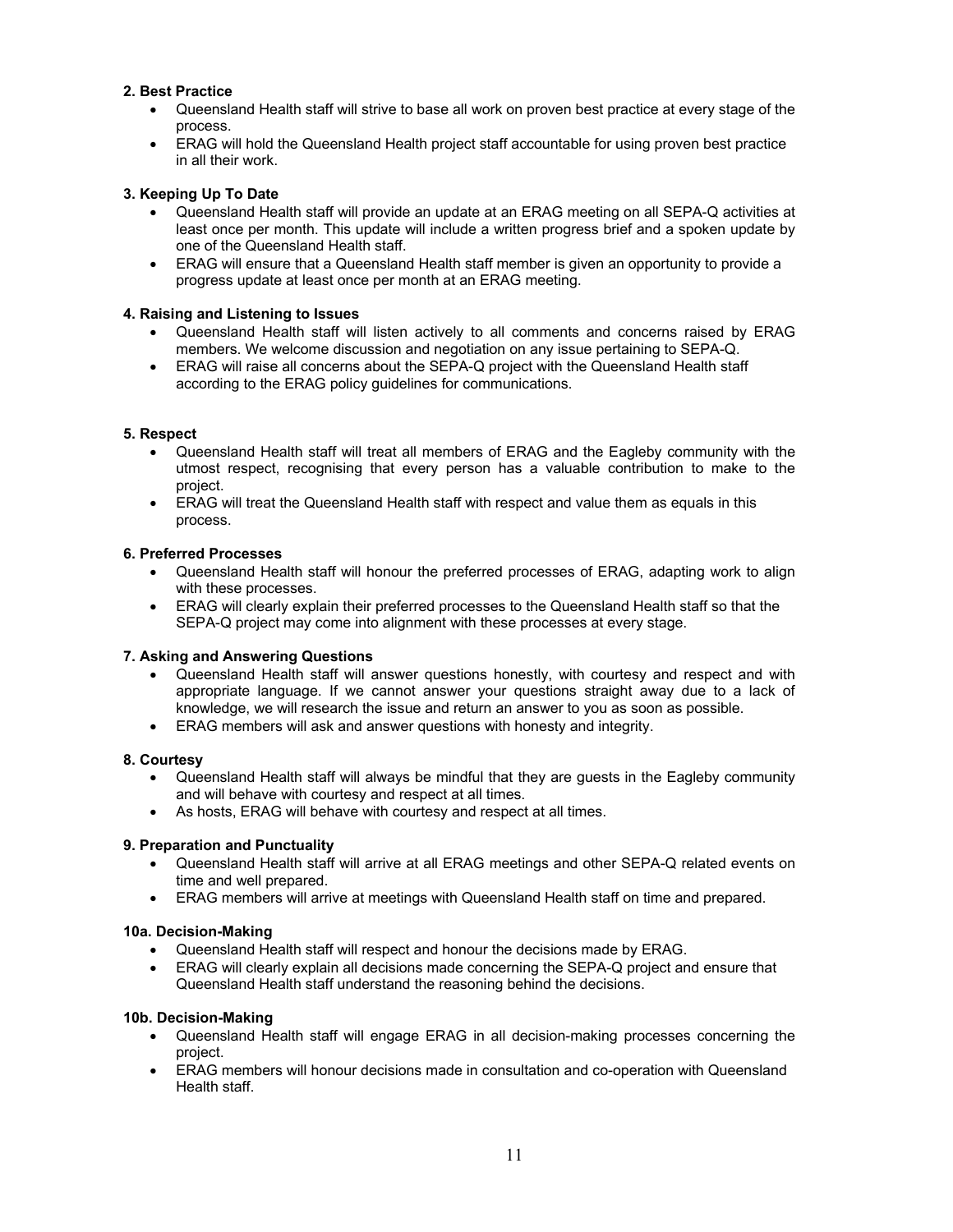# **2. Best Practice**

- Queensland Health staff will strive to base all work on proven best practice at every stage of the process.
- ERAG will hold the Queensland Health project staff accountable for using proven best practice in all their work.

# **3. Keeping Up To Date**

- Queensland Health staff will provide an update at an ERAG meeting on all SEPA-Q activities at least once per month. This update will include a written progress brief and a spoken update by one of the Queensland Health staff.
- ERAG will ensure that a Queensland Health staff member is given an opportunity to provide a progress update at least once per month at an ERAG meeting.

# **4. Raising and Listening to Issues**

- Queensland Health staff will listen actively to all comments and concerns raised by ERAG members. We welcome discussion and negotiation on any issue pertaining to SEPA-Q.
- ERAG will raise all concerns about the SEPA-Q project with the Queensland Health staff according to the ERAG policy guidelines for communications.

# **5. Respect**

- Queensland Health staff will treat all members of ERAG and the Eagleby community with the utmost respect, recognising that every person has a valuable contribution to make to the project.
- ERAG will treat the Queensland Health staff with respect and value them as equals in this process.

# **6. Preferred Processes**

- Queensland Health staff will honour the preferred processes of ERAG, adapting work to align with these processes.
- ERAG will clearly explain their preferred processes to the Queensland Health staff so that the SEPA-Q project may come into alignment with these processes at every stage.

# **7. Asking and Answering Questions**

- Queensland Health staff will answer questions honestly, with courtesy and respect and with appropriate language. If we cannot answer your questions straight away due to a lack of knowledge, we will research the issue and return an answer to you as soon as possible.
- ERAG members will ask and answer questions with honesty and integrity.

# **8. Courtesy**

- Queensland Health staff will always be mindful that they are guests in the Eagleby community and will behave with courtesy and respect at all times.
- As hosts, ERAG will behave with courtesy and respect at all times.

# **9. Preparation and Punctuality**

- Queensland Health staff will arrive at all ERAG meetings and other SEPA-Q related events on time and well prepared.
- ERAG members will arrive at meetings with Queensland Health staff on time and prepared.

# **10a. Decision-Making**

- Queensland Health staff will respect and honour the decisions made by ERAG.
- ERAG will clearly explain all decisions made concerning the SEPA-Q project and ensure that Queensland Health staff understand the reasoning behind the decisions.

# **10b. Decision-Making**

- Queensland Health staff will engage ERAG in all decision-making processes concerning the project.
- ERAG members will honour decisions made in consultation and co-operation with Queensland Health staff.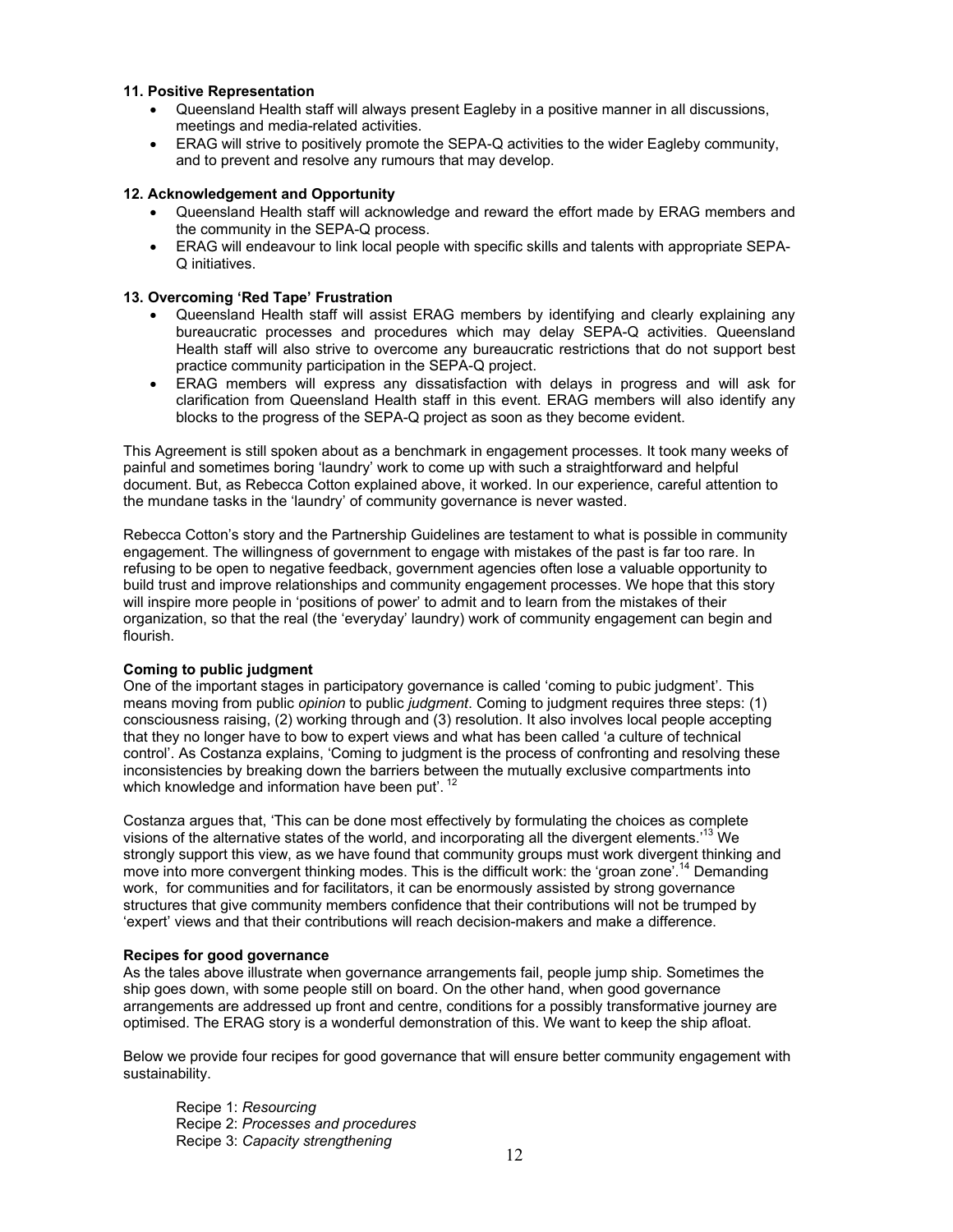#### **11. Positive Representation**

- Queensland Health staff will always present Eagleby in a positive manner in all discussions, meetings and media-related activities.
- ERAG will strive to positively promote the SEPA-Q activities to the wider Eagleby community, and to prevent and resolve any rumours that may develop.

#### **12. Acknowledgement and Opportunity**

- Queensland Health staff will acknowledge and reward the effort made by ERAG members and the community in the SEPA-Q process.
- ERAG will endeavour to link local people with specific skills and talents with appropriate SEPA-Q initiatives.

#### **13. Overcoming 'Red Tape' Frustration**

- Queensland Health staff will assist ERAG members by identifying and clearly explaining any bureaucratic processes and procedures which may delay SEPA-Q activities. Queensland Health staff will also strive to overcome any bureaucratic restrictions that do not support best practice community participation in the SEPA-Q project.
- ERAG members will express any dissatisfaction with delays in progress and will ask for clarification from Queensland Health staff in this event. ERAG members will also identify any blocks to the progress of the SEPA-Q project as soon as they become evident.

This Agreement is still spoken about as a benchmark in engagement processes. It took many weeks of painful and sometimes boring 'laundry' work to come up with such a straightforward and helpful document. But, as Rebecca Cotton explained above, it worked. In our experience, careful attention to the mundane tasks in the 'laundry' of community governance is never wasted.

Rebecca Cotton's story and the Partnership Guidelines are testament to what is possible in community engagement. The willingness of government to engage with mistakes of the past is far too rare. In refusing to be open to negative feedback, government agencies often lose a valuable opportunity to build trust and improve relationships and community engagement processes. We hope that this story will inspire more people in 'positions of power' to admit and to learn from the mistakes of their organization, so that the real (the 'everyday' laundry) work of community engagement can begin and flourish.

#### **Coming to public judgment**

One of the important stages in participatory governance is called 'coming to pubic judgment'. This means moving from public *opinion* to public *judgment*. Coming to judgment requires three steps: (1) consciousness raising, (2) working through and (3) resolution. It also involves local people accepting that they no longer have to bow to expert views and what has been called 'a culture of technical control'. As Costanza explains, 'Coming to judgment is the process of confronting and resolving these inconsistencies by breaking down the barriers between the mutually exclusive compartments into which knowledge and information have been put'.<sup>12</sup>

Costanza argues that, 'This can be done most effectively by formulating the choices as complete visions of the alternative states of the world, and incorporating all the divergent elements.'13 We strongly support this view, as we have found that community groups must work divergent thinking and move into more convergent thinking modes. This is the difficult work: the 'groan zone'.<sup>14</sup> Demanding work, for communities and for facilitators, it can be enormously assisted by strong governance structures that give community members confidence that their contributions will not be trumped by 'expert' views and that their contributions will reach decision-makers and make a difference.

#### **Recipes for good governance**

As the tales above illustrate when governance arrangements fail, people jump ship. Sometimes the ship goes down, with some people still on board. On the other hand, when good governance arrangements are addressed up front and centre, conditions for a possibly transformative journey are optimised. The ERAG story is a wonderful demonstration of this. We want to keep the ship afloat.

Below we provide four recipes for good governance that will ensure better community engagement with sustainability.

Recipe 1: *Resourcing*  Recipe 2: *Processes and procedures*  Recipe 3: *Capacity strengthening*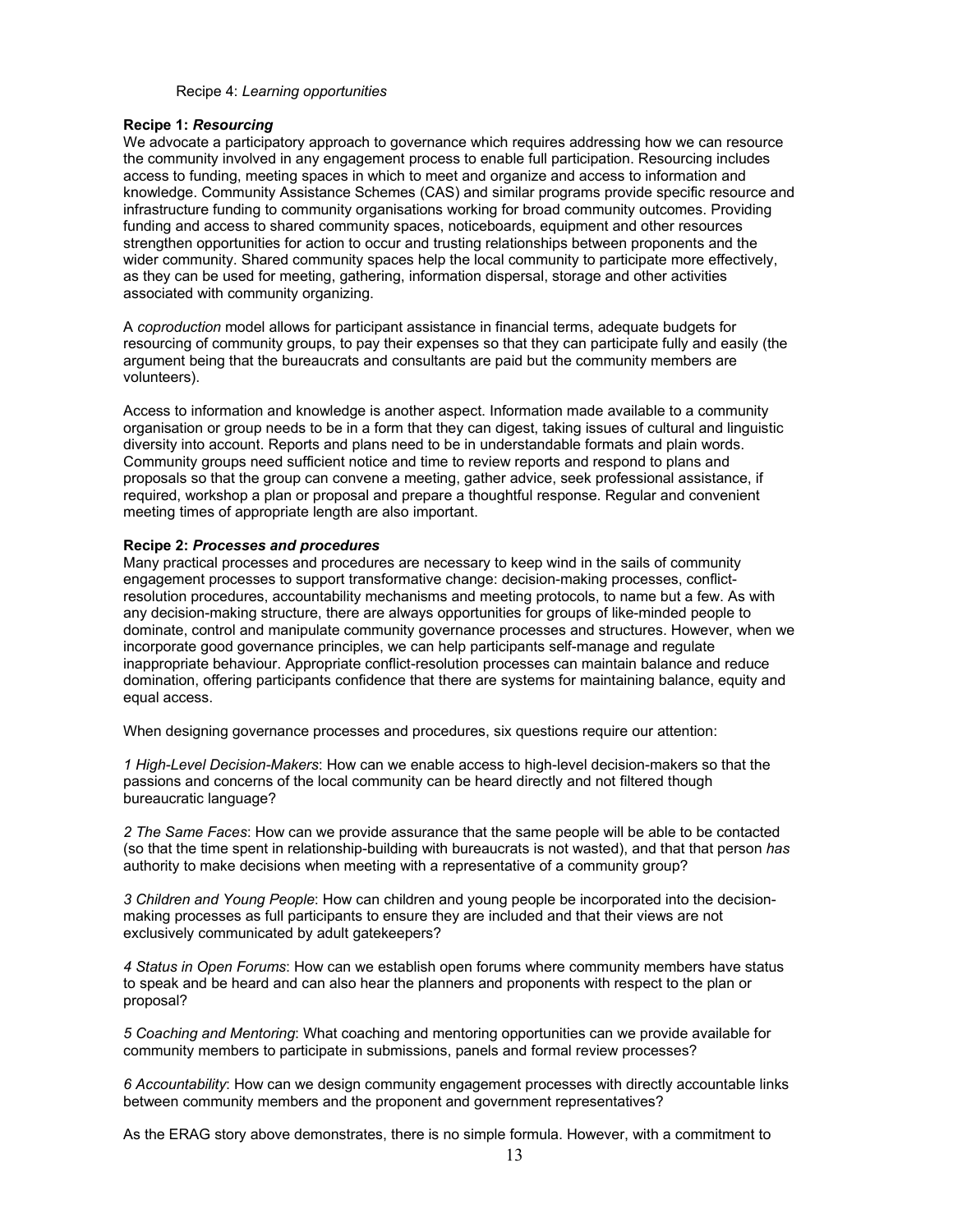#### Recipe 4: *Learning opportunities*

#### **Recipe 1:** *Resourcing*

We advocate a participatory approach to governance which requires addressing how we can resource the community involved in any engagement process to enable full participation. Resourcing includes access to funding, meeting spaces in which to meet and organize and access to information and knowledge. Community Assistance Schemes (CAS) and similar programs provide specific resource and infrastructure funding to community organisations working for broad community outcomes. Providing funding and access to shared community spaces, noticeboards, equipment and other resources strengthen opportunities for action to occur and trusting relationships between proponents and the wider community. Shared community spaces help the local community to participate more effectively, as they can be used for meeting, gathering, information dispersal, storage and other activities associated with community organizing.

A *coproduction* model allows for participant assistance in financial terms, adequate budgets for resourcing of community groups, to pay their expenses so that they can participate fully and easily (the argument being that the bureaucrats and consultants are paid but the community members are volunteers).

Access to information and knowledge is another aspect. Information made available to a community organisation or group needs to be in a form that they can digest, taking issues of cultural and linguistic diversity into account. Reports and plans need to be in understandable formats and plain words. Community groups need sufficient notice and time to review reports and respond to plans and proposals so that the group can convene a meeting, gather advice, seek professional assistance, if required, workshop a plan or proposal and prepare a thoughtful response. Regular and convenient meeting times of appropriate length are also important.

#### **Recipe 2:** *Processes and procedures*

Many practical processes and procedures are necessary to keep wind in the sails of community engagement processes to support transformative change: decision-making processes, conflictresolution procedures, accountability mechanisms and meeting protocols, to name but a few. As with any decision-making structure, there are always opportunities for groups of like-minded people to dominate, control and manipulate community governance processes and structures. However, when we incorporate good governance principles, we can help participants self-manage and regulate inappropriate behaviour. Appropriate conflict-resolution processes can maintain balance and reduce domination, offering participants confidence that there are systems for maintaining balance, equity and equal access.

When designing governance processes and procedures, six questions require our attention:

*1 High-Level Decision-Makers*: How can we enable access to high-level decision-makers so that the passions and concerns of the local community can be heard directly and not filtered though bureaucratic language?

*2 The Same Faces*: How can we provide assurance that the same people will be able to be contacted (so that the time spent in relationship-building with bureaucrats is not wasted), and that that person *has*  authority to make decisions when meeting with a representative of a community group?

*3 Children and Young People*: How can children and young people be incorporated into the decisionmaking processes as full participants to ensure they are included and that their views are not exclusively communicated by adult gatekeepers?

*4 Status in Open Forums*: How can we establish open forums where community members have status to speak and be heard and can also hear the planners and proponents with respect to the plan or proposal?

*5 Coaching and Mentoring*: What coaching and mentoring opportunities can we provide available for community members to participate in submissions, panels and formal review processes?

*6 Accountability*: How can we design community engagement processes with directly accountable links between community members and the proponent and government representatives?

As the ERAG story above demonstrates, there is no simple formula. However, with a commitment to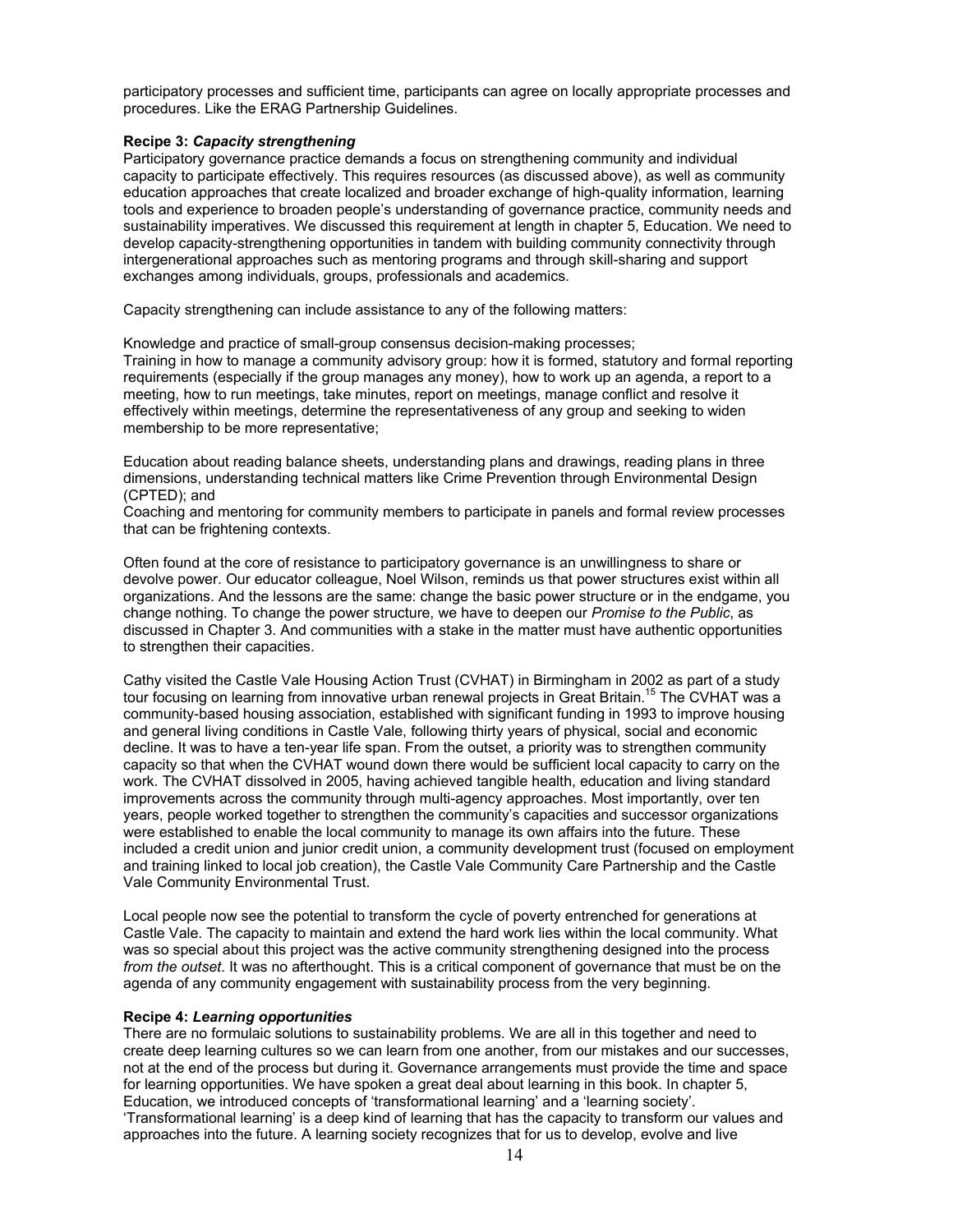participatory processes and sufficient time, participants can agree on locally appropriate processes and procedures. Like the ERAG Partnership Guidelines.

# **Recipe 3:** *Capacity strengthening*

Participatory governance practice demands a focus on strengthening community and individual capacity to participate effectively. This requires resources (as discussed above), as well as community education approaches that create localized and broader exchange of high-quality information, learning tools and experience to broaden people's understanding of governance practice, community needs and sustainability imperatives. We discussed this requirement at length in chapter 5, Education. We need to develop capacity-strengthening opportunities in tandem with building community connectivity through intergenerational approaches such as mentoring programs and through skill-sharing and support exchanges among individuals, groups, professionals and academics.

Capacity strengthening can include assistance to any of the following matters:

Knowledge and practice of small-group consensus decision-making processes; Training in how to manage a community advisory group: how it is formed, statutory and formal reporting requirements (especially if the group manages any money), how to work up an agenda, a report to a meeting, how to run meetings, take minutes, report on meetings, manage conflict and resolve it effectively within meetings, determine the representativeness of any group and seeking to widen membership to be more representative;

Education about reading balance sheets, understanding plans and drawings, reading plans in three dimensions, understanding technical matters like Crime Prevention through Environmental Design (CPTED); and

Coaching and mentoring for community members to participate in panels and formal review processes that can be frightening contexts.

Often found at the core of resistance to participatory governance is an unwillingness to share or devolve power. Our educator colleague, Noel Wilson, reminds us that power structures exist within all organizations. And the lessons are the same: change the basic power structure or in the endgame, you change nothing. To change the power structure, we have to deepen our *Promise to the Public*, as discussed in Chapter 3. And communities with a stake in the matter must have authentic opportunities to strengthen their capacities.

Cathy visited the Castle Vale Housing Action Trust (CVHAT) in Birmingham in 2002 as part of a study tour focusing on learning from innovative urban renewal projects in Great Britain.<sup>15</sup> The CVHAT was a community-based housing association, established with significant funding in 1993 to improve housing and general living conditions in Castle Vale, following thirty years of physical, social and economic decline. It was to have a ten-year life span. From the outset, a priority was to strengthen community capacity so that when the CVHAT wound down there would be sufficient local capacity to carry on the work. The CVHAT dissolved in 2005, having achieved tangible health, education and living standard improvements across the community through multi-agency approaches. Most importantly, over ten years, people worked together to strengthen the community's capacities and successor organizations were established to enable the local community to manage its own affairs into the future. These included a credit union and junior credit union, a community development trust (focused on employment and training linked to local job creation), the Castle Vale Community Care Partnership and the Castle Vale Community Environmental Trust.

Local people now see the potential to transform the cycle of poverty entrenched for generations at Castle Vale. The capacity to maintain and extend the hard work lies within the local community. What was so special about this project was the active community strengthening designed into the process *from the outset*. It was no afterthought. This is a critical component of governance that must be on the agenda of any community engagement with sustainability process from the very beginning.

## **Recipe 4:** *Learning opportunities*

There are no formulaic solutions to sustainability problems. We are all in this together and need to create deep learning cultures so we can learn from one another, from our mistakes and our successes, not at the end of the process but during it. Governance arrangements must provide the time and space for learning opportunities. We have spoken a great deal about learning in this book. In chapter 5, Education, we introduced concepts of 'transformational learning' and a 'learning society'. 'Transformational learning' is a deep kind of learning that has the capacity to transform our values and approaches into the future. A learning society recognizes that for us to develop, evolve and live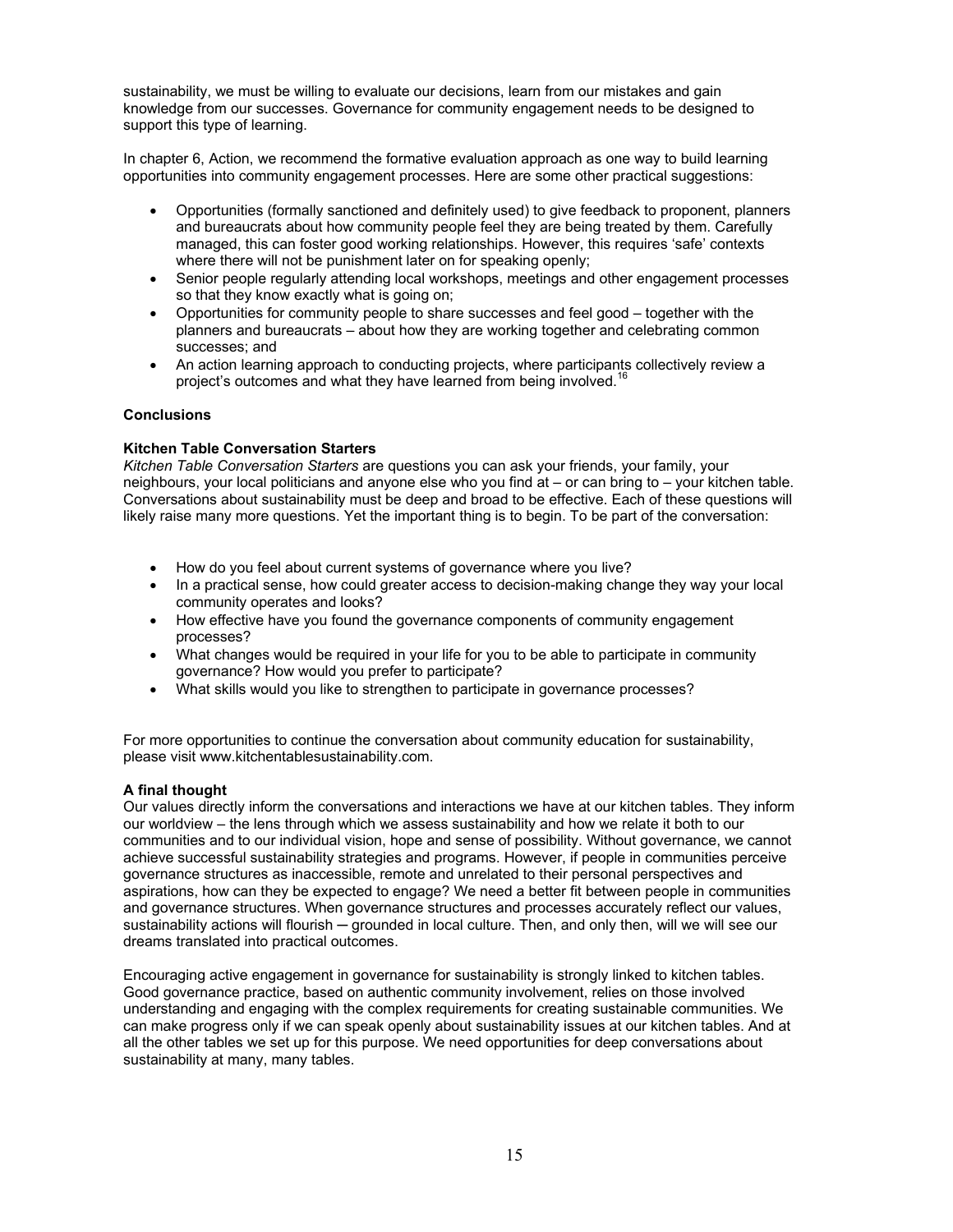sustainability, we must be willing to evaluate our decisions, learn from our mistakes and gain knowledge from our successes. Governance for community engagement needs to be designed to support this type of learning.

In chapter 6, Action, we recommend the formative evaluation approach as one way to build learning opportunities into community engagement processes. Here are some other practical suggestions:

- Opportunities (formally sanctioned and definitely used) to give feedback to proponent, planners and bureaucrats about how community people feel they are being treated by them. Carefully managed, this can foster good working relationships. However, this requires 'safe' contexts where there will not be punishment later on for speaking openly;
- Senior people regularly attending local workshops, meetings and other engagement processes so that they know exactly what is going on;
- Opportunities for community people to share successes and feel good together with the planners and bureaucrats – about how they are working together and celebrating common successes; and
- An action learning approach to conducting projects, where participants collectively review a project's outcomes and what they have learned from being involved.<sup>16</sup>

# **Conclusions**

# **Kitchen Table Conversation Starters**

*Kitchen Table Conversation Starters* are questions you can ask your friends, your family, your neighbours, your local politicians and anyone else who you find at – or can bring to – your kitchen table. Conversations about sustainability must be deep and broad to be effective. Each of these questions will likely raise many more questions. Yet the important thing is to begin. To be part of the conversation:

- How do you feel about current systems of governance where you live?
- In a practical sense, how could greater access to decision-making change they way your local community operates and looks?
- How effective have you found the governance components of community engagement processes?
- What changes would be required in your life for you to be able to participate in community governance? How would you prefer to participate?
- What skills would you like to strengthen to participate in governance processes?

For more opportunities to continue the conversation about community education for sustainability, please visit www.kitchentablesustainability.com.

# **A final thought**

Our values directly inform the conversations and interactions we have at our kitchen tables. They inform our worldview – the lens through which we assess sustainability and how we relate it both to our communities and to our individual vision, hope and sense of possibility. Without governance, we cannot achieve successful sustainability strategies and programs. However, if people in communities perceive governance structures as inaccessible, remote and unrelated to their personal perspectives and aspirations, how can they be expected to engage? We need a better fit between people in communities and governance structures. When governance structures and processes accurately reflect our values, sustainability actions will flourish — grounded in local culture. Then, and only then, will we will see our dreams translated into practical outcomes.

Encouraging active engagement in governance for sustainability is strongly linked to kitchen tables. Good governance practice, based on authentic community involvement, relies on those involved understanding and engaging with the complex requirements for creating sustainable communities. We can make progress only if we can speak openly about sustainability issues at our kitchen tables. And at all the other tables we set up for this purpose. We need opportunities for deep conversations about sustainability at many, many tables.